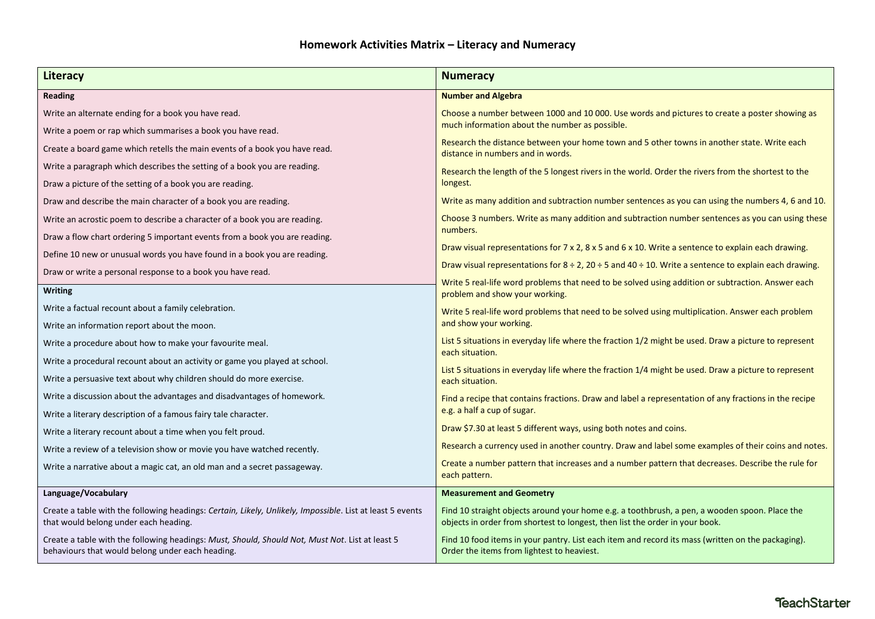| Literacy                                                                                                                                            | <b>Numeracy</b>                                                                                                                                                               |  |
|-----------------------------------------------------------------------------------------------------------------------------------------------------|-------------------------------------------------------------------------------------------------------------------------------------------------------------------------------|--|
| Reading                                                                                                                                             | <b>Number and Algebra</b>                                                                                                                                                     |  |
| Write an alternate ending for a book you have read.                                                                                                 | Choose a number between 1000 and 10 000. Use words and pictures to create a poster showing as<br>much information about the number as possible.                               |  |
| Write a poem or rap which summarises a book you have read.                                                                                          |                                                                                                                                                                               |  |
| Create a board game which retells the main events of a book you have read.                                                                          | Research the distance between your home town and 5 other towns in another state. Write each<br>distance in numbers and in words.                                              |  |
| Write a paragraph which describes the setting of a book you are reading.                                                                            | Research the length of the 5 longest rivers in the world. Order the rivers from the shortest to the                                                                           |  |
| Draw a picture of the setting of a book you are reading.                                                                                            | longest.                                                                                                                                                                      |  |
| Draw and describe the main character of a book you are reading.                                                                                     | Write as many addition and subtraction number sentences as you can using the numbers 4, 6 and 10.                                                                             |  |
| Write an acrostic poem to describe a character of a book you are reading.                                                                           | Choose 3 numbers. Write as many addition and subtraction number sentences as you can using these                                                                              |  |
| Draw a flow chart ordering 5 important events from a book you are reading.                                                                          | numbers.                                                                                                                                                                      |  |
| Define 10 new or unusual words you have found in a book you are reading.                                                                            | Draw visual representations for 7 x 2, 8 x 5 and 6 x 10. Write a sentence to explain each drawing.                                                                            |  |
| Draw or write a personal response to a book you have read.                                                                                          | Draw visual representations for $8 \div 2$ , 20 $\div 5$ and 40 $\div 10$ . Write a sentence to explain each drawing.                                                         |  |
| <b>Writing</b>                                                                                                                                      | Write 5 real-life word problems that need to be solved using addition or subtraction. Answer each<br>problem and show your working.                                           |  |
| Write a factual recount about a family celebration.                                                                                                 |                                                                                                                                                                               |  |
| Write an information report about the moon.                                                                                                         | Write 5 real-life word problems that need to be solved using multiplication. Answer each problem<br>and show your working.                                                    |  |
| Write a procedure about how to make your favourite meal.                                                                                            | List 5 situations in everyday life where the fraction 1/2 might be used. Draw a picture to represent<br>each situation.                                                       |  |
| Write a procedural recount about an activity or game you played at school.                                                                          |                                                                                                                                                                               |  |
| Write a persuasive text about why children should do more exercise.                                                                                 | List 5 situations in everyday life where the fraction 1/4 might be used. Draw a picture to represent<br>each situation.                                                       |  |
| Write a discussion about the advantages and disadvantages of homework.                                                                              | Find a recipe that contains fractions. Draw and label a representation of any fractions in the recipe                                                                         |  |
| Write a literary description of a famous fairy tale character.                                                                                      | e.g. a half a cup of sugar.                                                                                                                                                   |  |
| Write a literary recount about a time when you felt proud.                                                                                          | Draw \$7.30 at least 5 different ways, using both notes and coins.                                                                                                            |  |
| Write a review of a television show or movie you have watched recently.                                                                             | Research a currency used in another country. Draw and label some examples of their coins and notes.                                                                           |  |
| Write a narrative about a magic cat, an old man and a secret passageway.                                                                            | Create a number pattern that increases and a number pattern that decreases. Describe the rule for<br>each pattern.                                                            |  |
| Language/Vocabulary                                                                                                                                 | <b>Measurement and Geometry</b>                                                                                                                                               |  |
| Create a table with the following headings: Certain, Likely, Unlikely, Impossible. List at least 5 events<br>that would belong under each heading.  | Find 10 straight objects around your home e.g. a toothbrush, a pen, a wooden spoon. Place the<br>objects in order from shortest to longest, then list the order in your book. |  |
| Create a table with the following headings: Must, Should, Should Not, Must Not. List at least 5<br>behaviours that would belong under each heading. | Find 10 food items in your pantry. List each item and record its mass (written on the packaging).<br>Order the items from lightest to heaviest.                               |  |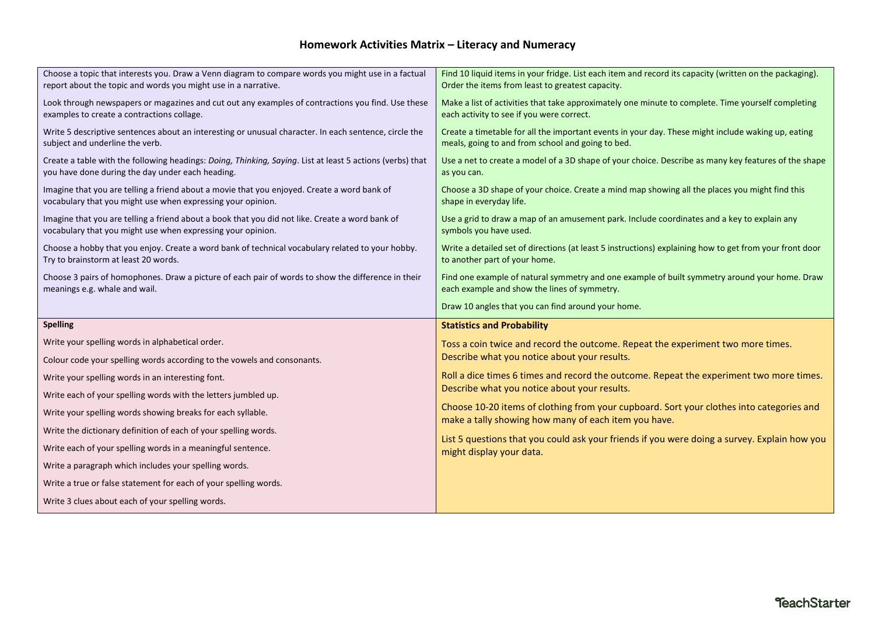## **Homework Activities Matrix – Literacy and Numeracy**

| Choose a topic that interests you. Draw a Venn diagram to compare words you might use in a factual<br>report about the topic and words you might use in a narrative. | Find 10 liquid items in your fridge. List each item and record its capacity (written on the packaging).<br>Order the items from least to greatest capacity. |
|----------------------------------------------------------------------------------------------------------------------------------------------------------------------|-------------------------------------------------------------------------------------------------------------------------------------------------------------|
| Look through newspapers or magazines and cut out any examples of contractions you find. Use these<br>examples to create a contractions collage.                      | Make a list of activities that take approximately one minute to complete. Time yourself completing<br>each activity to see if you were correct.             |
| Write 5 descriptive sentences about an interesting or unusual character. In each sentence, circle the<br>subject and underline the verb.                             | Create a timetable for all the important events in your day. These might include waking up, eating<br>meals, going to and from school and going to bed.     |
| Create a table with the following headings: Doing, Thinking, Saying. List at least 5 actions (verbs) that<br>you have done during the day under each heading.        | Use a net to create a model of a 3D shape of your choice. Describe as many key features of the shape<br>as you can.                                         |
| Imagine that you are telling a friend about a movie that you enjoyed. Create a word bank of<br>vocabulary that you might use when expressing your opinion.           | Choose a 3D shape of your choice. Create a mind map showing all the places you might find this<br>shape in everyday life.                                   |
| Imagine that you are telling a friend about a book that you did not like. Create a word bank of<br>vocabulary that you might use when expressing your opinion.       | Use a grid to draw a map of an amusement park. Include coordinates and a key to explain any<br>symbols you have used.                                       |
| Choose a hobby that you enjoy. Create a word bank of technical vocabulary related to your hobby.<br>Try to brainstorm at least 20 words.                             | Write a detailed set of directions (at least 5 instructions) explaining how to get from your front door<br>to another part of your home.                    |
| Choose 3 pairs of homophones. Draw a picture of each pair of words to show the difference in their<br>meanings e.g. whale and wail.                                  | Find one example of natural symmetry and one example of built symmetry around your home. Draw<br>each example and show the lines of symmetry.               |
|                                                                                                                                                                      |                                                                                                                                                             |
|                                                                                                                                                                      | Draw 10 angles that you can find around your home.                                                                                                          |
| <b>Spelling</b>                                                                                                                                                      | <b>Statistics and Probability</b>                                                                                                                           |
| Write your spelling words in alphabetical order.                                                                                                                     | Toss a coin twice and record the outcome. Repeat the experiment two more times.                                                                             |
| Colour code your spelling words according to the vowels and consonants.                                                                                              | Describe what you notice about your results.                                                                                                                |
| Write your spelling words in an interesting font.                                                                                                                    | Roll a dice times 6 times and record the outcome. Repeat the experiment two more times.                                                                     |
| Write each of your spelling words with the letters jumbled up.                                                                                                       | Describe what you notice about your results.                                                                                                                |
| Write your spelling words showing breaks for each syllable.                                                                                                          | Choose 10-20 items of clothing from your cupboard. Sort your clothes into categories and                                                                    |
| Write the dictionary definition of each of your spelling words.                                                                                                      | make a tally showing how many of each item you have.                                                                                                        |
| Write each of your spelling words in a meaningful sentence.                                                                                                          | List 5 questions that you could ask your friends if you were doing a survey. Explain how you<br>might display your data.                                    |
| Write a paragraph which includes your spelling words.                                                                                                                |                                                                                                                                                             |
| Write a true or false statement for each of your spelling words.                                                                                                     |                                                                                                                                                             |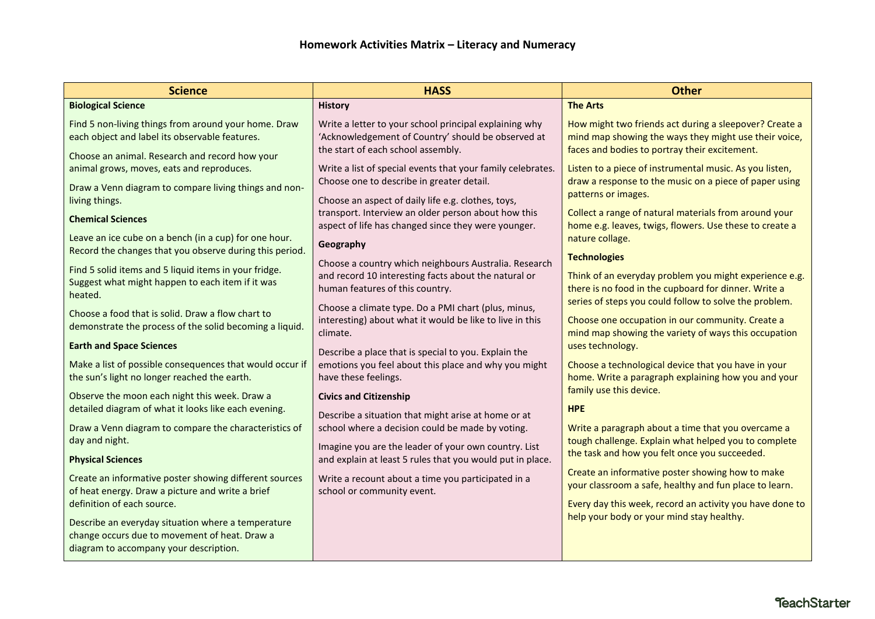| <b>Science</b>                                                                                                                                           | <b>HASS</b>                                                                                                                                        | <b>Other</b>                                                                                                                                                       |
|----------------------------------------------------------------------------------------------------------------------------------------------------------|----------------------------------------------------------------------------------------------------------------------------------------------------|--------------------------------------------------------------------------------------------------------------------------------------------------------------------|
| <b>Biological Science</b>                                                                                                                                | <b>History</b>                                                                                                                                     | <b>The Arts</b>                                                                                                                                                    |
| Find 5 non-living things from around your home. Draw<br>each object and label its observable features.<br>Choose an animal. Research and record how your | Write a letter to your school principal explaining why<br>'Acknowledgement of Country' should be observed at<br>the start of each school assembly. | How might two friends act during a sleepover? Create a<br>mind map showing the ways they might use their voice,<br>faces and bodies to portray their excitement.   |
| animal grows, moves, eats and reproduces.                                                                                                                | Write a list of special events that your family celebrates.<br>Choose one to describe in greater detail.                                           | Listen to a piece of instrumental music. As you listen,<br>draw a response to the music on a piece of paper using                                                  |
| Draw a Venn diagram to compare living things and non-<br>living things.                                                                                  | Choose an aspect of daily life e.g. clothes, toys,                                                                                                 | patterns or images.                                                                                                                                                |
| <b>Chemical Sciences</b>                                                                                                                                 | transport. Interview an older person about how this<br>aspect of life has changed since they were younger.                                         | Collect a range of natural materials from around your<br>home e.g. leaves, twigs, flowers. Use these to create a                                                   |
| Leave an ice cube on a bench (in a cup) for one hour.<br>Record the changes that you observe during this period.                                         | Geography                                                                                                                                          | nature collage.                                                                                                                                                    |
| Find 5 solid items and 5 liquid items in your fridge.<br>Suggest what might happen to each item if it was<br>heated.                                     | Choose a country which neighbours Australia. Research<br>and record 10 interesting facts about the natural or<br>human features of this country.   | <b>Technologies</b><br>Think of an everyday problem you might experience e.g.<br>there is no food in the cupboard for dinner. Write a                              |
| Choose a food that is solid. Draw a flow chart to<br>demonstrate the process of the solid becoming a liquid.                                             | Choose a climate type. Do a PMI chart (plus, minus,<br>interesting) about what it would be like to live in this<br>climate.                        | series of steps you could follow to solve the problem.<br>Choose one occupation in our community. Create a<br>mind map showing the variety of ways this occupation |
| <b>Earth and Space Sciences</b>                                                                                                                          | Describe a place that is special to you. Explain the                                                                                               | uses technology.                                                                                                                                                   |
| Make a list of possible consequences that would occur if<br>the sun's light no longer reached the earth.                                                 | emotions you feel about this place and why you might<br>have these feelings.                                                                       | Choose a technological device that you have in your<br>home. Write a paragraph explaining how you and your                                                         |
| Observe the moon each night this week. Draw a<br>detailed diagram of what it looks like each evening.                                                    | <b>Civics and Citizenship</b><br>Describe a situation that might arise at home or at                                                               | family use this device.<br><b>HPE</b>                                                                                                                              |
| Draw a Venn diagram to compare the characteristics of<br>day and night.                                                                                  | school where a decision could be made by voting.<br>Imagine you are the leader of your own country. List                                           | Write a paragraph about a time that you overcame a<br>tough challenge. Explain what helped you to complete                                                         |
| <b>Physical Sciences</b>                                                                                                                                 | and explain at least 5 rules that you would put in place.                                                                                          | the task and how you felt once you succeeded.                                                                                                                      |
| Create an informative poster showing different sources<br>of heat energy. Draw a picture and write a brief                                               | Write a recount about a time you participated in a<br>school or community event.                                                                   | Create an informative poster showing how to make<br>your classroom a safe, healthy and fun place to learn.                                                         |
| definition of each source.                                                                                                                               |                                                                                                                                                    | Every day this week, record an activity you have done to                                                                                                           |
| Describe an everyday situation where a temperature<br>change occurs due to movement of heat. Draw a<br>diagram to accompany your description.            |                                                                                                                                                    | help your body or your mind stay healthy.                                                                                                                          |